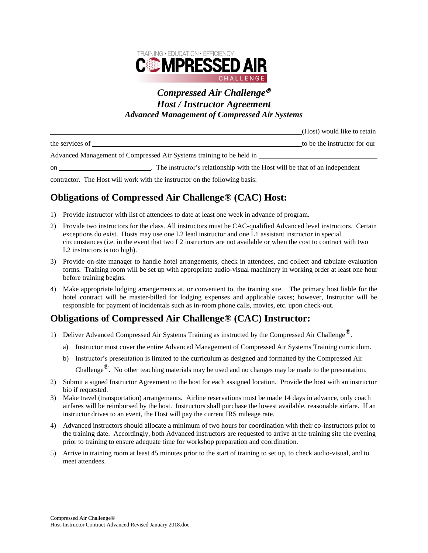

#### *Compressed Air Challenge Host / Instructor Agreement Advanced Management of Compressed Air Systems*

| the services of                                                      |                                                                            | to be the instructor for our |
|----------------------------------------------------------------------|----------------------------------------------------------------------------|------------------------------|
| Advanced Management of Compressed Air Systems training to be held in |                                                                            |                              |
| <sub>on</sub>                                                        | The instructor's relationship with the Host will be that of an independent |                              |

(Host) would like to retain

contractor. The Host will work with the instructor on the following basis:

# **Obligations of Compressed Air Challenge® (CAC) Host:**

- 1) Provide instructor with list of attendees to date at least one week in advance of program.
- 2) Provide two instructors for the class. All instructors must be CAC-qualified Advanced level instructors. Certain exceptions do exist. Hosts may use one L2 lead instructor and one L1 assistant instructor in special circumstances (i.e. in the event that two L2 instructors are not available or when the cost to contract with two L2 instructors is too high).
- 3) Provide on-site manager to handle hotel arrangements, check in attendees, and collect and tabulate evaluation forms. Training room will be set up with appropriate audio-visual machinery in working order at least one hour before training begins.
- 4) Make appropriate lodging arrangements at, or convenient to, the training site. The primary host liable for the hotel contract will be master-billed for lodging expenses and applicable taxes; however, Instructor will be responsible for payment of incidentals such as in-room phone calls, movies, etc. upon check-out.

## **Obligations of Compressed Air Challenge® (CAC) Instructor:**

- 1) Deliver Advanced Compressed Air Systems Training as instructed by the Compressed Air Challenge<sup>®</sup>.
	- a) Instructor must cover the entire Advanced Management of Compressed Air Systems Training curriculum.
	- b) Instructor's presentation is limited to the curriculum as designed and formatted by the Compressed Air Challenge<sup>®</sup>. No other teaching materials may be used and no changes may be made to the presentation.
- 2) Submit a signed Instructor Agreement to the host for each assigned location. Provide the host with an instructor bio if requested.
- 3) Make travel (transportation) arrangements. Airline reservations must be made 14 days in advance, only coach airfares will be reimbursed by the host. Instructors shall purchase the lowest available, reasonable airfare. If an instructor drives to an event, the Host will pay the current IRS mileage rate.
- 4) Advanced instructors should allocate a minimum of two hours for coordination with their co-instructors prior to the training date. Accordingly, both Advanced instructors are requested to arrive at the training site the evening prior to training to ensure adequate time for workshop preparation and coordination.
- 5) Arrive in training room at least 45 minutes prior to the start of training to set up, to check audio-visual, and to meet attendees.